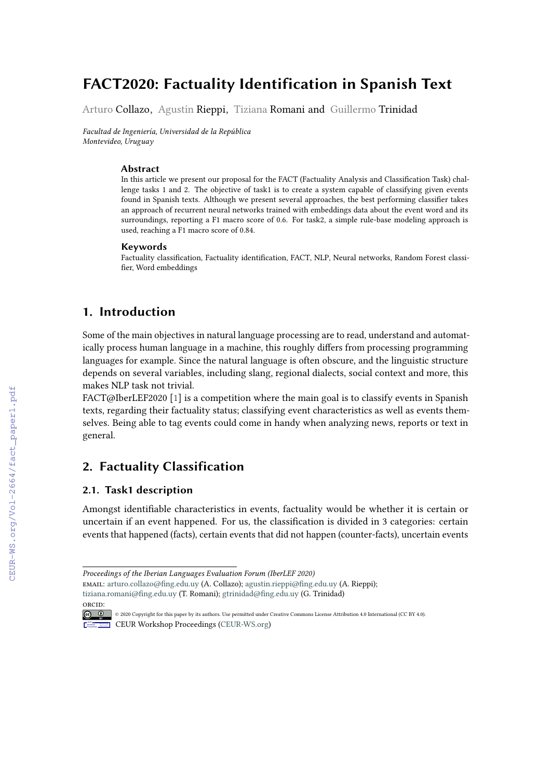# **FACT2020: Factuality Identification in Spanish Text**

Arturo Collazo, Agustín Rieppi, Tiziana Romani and Guillermo Trinidad

*Facultad de Ingeniería, Universidad de la República Montevideo, Uruguay*

#### **Abstract**

In this article we present our proposal for the FACT (Factuality Analysis and Classification Task) challenge tasks 1 and 2. The objective of task1 is to create a system capable of classifying given events found in Spanish texts. Although we present several approaches, the best performing classifier takes an approach of recurrent neural networks trained with embeddings data about the event word and its surroundings, reporting a F1 macro score of 0.6. For task2, a simple rule-base modeling approach is used, reaching a F1 macro score of 0.84.

#### **Keywords**

Factuality classification, Factuality identification, FACT, NLP, Neural networks, Random Forest classifier, Word embeddings

## **1. Introduction**

Some of the main objectives in natural language processing are to read, understand and automatically process human language in a machine, this roughly differs from processing programming languages for example. Since the natural language is often obscure, and the linguistic structure depends on several variables, including slang, regional dialects, social context and more, this makes NLP task not trivial.

FACT@IberLEF2020 [\[1\]](#page--1-0) is a competition where the main goal is to classify events in Spanish texts, regarding their factuality status; classifying event characteristics as well as events themselves. Being able to tag events could come in handy when analyzing news, reports or text in general.

## **2. Factuality Classification**

## **2.1. Task1 description**

Amongst identifiable characteristics in events, factuality would be whether it is certain or uncertain if an event happened. For us, the classification is divided in 3 categories: certain events that happened (facts), certain events that did not happen (counter-facts), uncertain events

*Proceedings of the Iberian Languages Evaluation Forum (IberLEF 2020)*

email: [arturo.collazo@fing.edu.uy](mailto:arturo.collazo@fing.edu.uy) (A. Collazo); [agustin.rieppi@fing.edu.uy](mailto:agustin.rieppi@fing.edu.uy) (A. Rieppi); [tiziana.romani@fing.edu.uy](mailto:tiziana.romani@fing.edu.uy) (T. Romani); [gtrinidad@fing.edu.uy](mailto:gtrinidad@fing.edu.uy) (G. Trinidad)

[orcid:](https://creativecommons.org/licenses/by/4.0)

<sup>©</sup> 2020 Copyright for this paper by its authors. Use permitted under Creative Commons License Attribution 4.0 International (CC BY 4.0). CEUR Workshop [Proceedings](http://ceur-ws.org) [\(CEUR-WS.org\)](http://ceur-ws.org)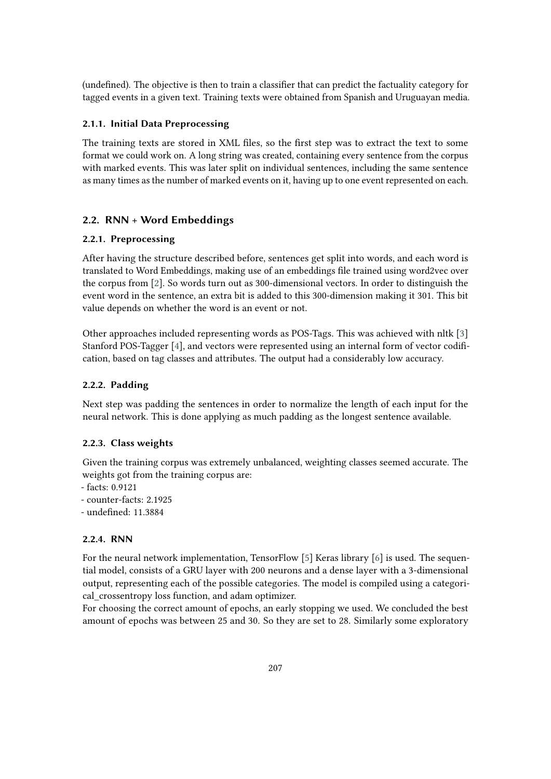(undefined). The objective is then to train a classifier that can predict the factuality category for tagged events in a given text. Training texts were obtained from Spanish and Uruguayan media.

#### **2.1.1. Initial Data Preprocessing**

The training texts are stored in XML files, so the first step was to extract the text to some format we could work on. A long string was created, containing every sentence from the corpus with marked events. This was later split on individual sentences, including the same sentence as many times as the number of marked events on it, having up to one event represented on each.

## **2.2. RNN + Word Embeddings**

#### **2.2.1. Preprocessing**

After having the structure described before, sentences get split into words, and each word is translated to Word Embeddings, making use of an embeddings file trained using word2vec over the corpus from [\[2\]](#page-6-0). So words turn out as 300-dimensional vectors. In order to distinguish the event word in the sentence, an extra bit is added to this 300-dimension making it 301. This bit value depends on whether the word is an event or not.

Other approaches included representing words as POS-Tags. This was achieved with nltk [\[3\]](#page-6-1) Stanford POS-Tagger [\[4\]](#page-6-2), and vectors were represented using an internal form of vector codification, based on tag classes and attributes. The output had a considerably low accuracy.

#### **2.2.2. Padding**

Next step was padding the sentences in order to normalize the length of each input for the neural network. This is done applying as much padding as the longest sentence available.

#### **2.2.3. Class weights**

Given the training corpus was extremely unbalanced, weighting classes seemed accurate. The weights got from the training corpus are:

- facts: 0.9121
- counter-facts: 2.1925
- undefined: 11.3884

#### **2.2.4. RNN**

For the neural network implementation, TensorFlow [\[5\]](#page-6-3) Keras library [\[6\]](#page-7-0) is used. The sequential model, consists of a GRU layer with 200 neurons and a dense layer with a 3-dimensional output, representing each of the possible categories. The model is compiled using a categorical\_crossentropy loss function, and adam optimizer.

For choosing the correct amount of epochs, an early stopping we used. We concluded the best amount of epochs was between 25 and 30. So they are set to 28. Similarly some exploratory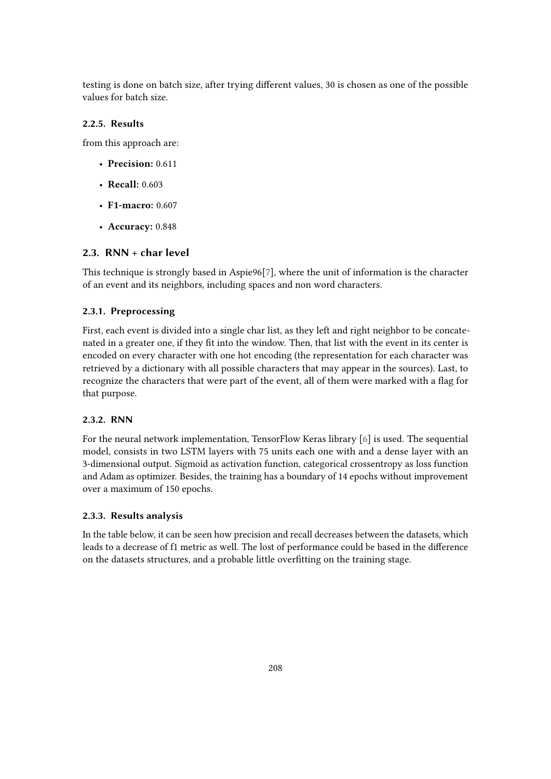testing is done on batch size, after trying different values, 30 is chosen as one of the possible values for batch size.

## **2.2.5. Results**

from this approach are:

- **Precision:** 0.611
- **Recall:** 0.603
- **F1-macro:** 0.607
- **Accuracy:** 0.848

#### **2.3. RNN + char level**

This technique is strongly based in Aspie96[\[7\]](#page-7-1), where the unit of information is the character of an event and its neighbors, including spaces and non word characters.

#### **2.3.1. Preprocessing**

First, each event is divided into a single char list, as they left and right neighbor to be concatenated in a greater one, if they fit into the window. Then, that list with the event in its center is encoded on every character with one hot encoding (the representation for each character was retrieved by a dictionary with all possible characters that may appear in the sources). Last, to recognize the characters that were part of the event, all of them were marked with a flag for that purpose.

## **2.3.2. RNN**

For the neural network implementation, TensorFlow Keras library [\[6\]](#page-7-0) is used. The sequential model, consists in two LSTM layers with 75 units each one with and a dense layer with an 3-dimensional output. Sigmoid as activation function, categorical crossentropy as loss function and Adam as optimizer. Besides, the training has a boundary of 14 epochs without improvement over a maximum of 150 epochs.

#### **2.3.3. Results analysis**

In the table below, it can be seen how precision and recall decreases between the datasets, which leads to a decrease of f1 metric as well. The lost of performance could be based in the difference on the datasets structures, and a probable little overfitting on the training stage.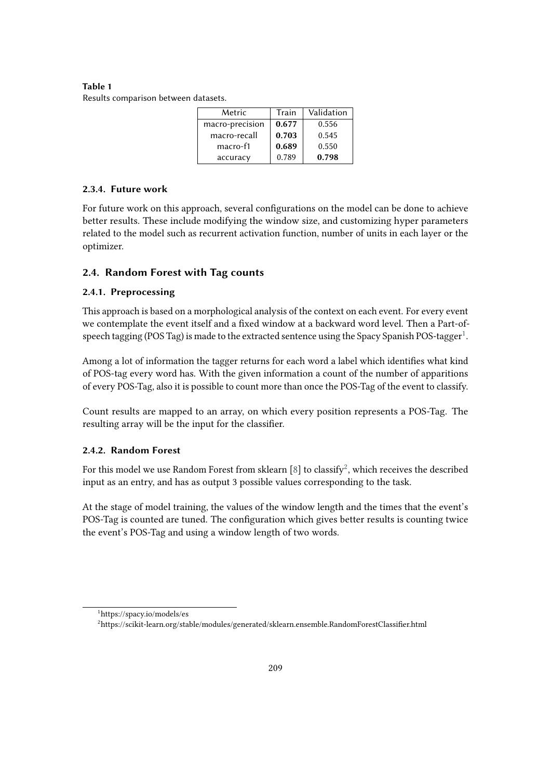**Table 1** Results comparison between datasets.

| Metric          | Train | Validation |  |
|-----------------|-------|------------|--|
| macro-precision | 0.677 | 0.556      |  |
| macro-recall    | 0.703 | 0.545      |  |
| macro-f1        | 0.689 | 0.550      |  |
| accuracy        | 0.789 | 0.798      |  |

## **2.3.4. Future work**

For future work on this approach, several configurations on the model can be done to achieve better results. These include modifying the window size, and customizing hyper parameters related to the model such as recurrent activation function, number of units in each layer or the optimizer.

## **2.4. Random Forest with Tag counts**

#### **2.4.1. Preprocessing**

This approach is based on a morphological analysis of the context on each event. For every event we contemplate the event itself and a fixed window at a backward word level. Then a Part-ofspeech tagging (POS Tag) is made to the extracted sentence using the Spacy Spanish POS-tagger $^1$  $^1$ .

Among a lot of information the tagger returns for each word a label which identifies what kind of POS-tag every word has. With the given information a count of the number of apparitions of every POS-Tag, also it is possible to count more than once the POS-Tag of the event to classify.

Count results are mapped to an array, on which every position represents a POS-Tag. The resulting array will be the input for the classifier.

## **2.4.2. Random Forest**

For this model we use Random Forest from sklearn [\[8\]](#page-7-2) to classify $^2$  $^2$ , which receives the described input as an entry, and has as output 3 possible values corresponding to the task.

At the stage of model training, the values of the window length and the times that the event's POS-Tag is counted are tuned. The configuration which gives better results is counting twice the event's POS-Tag and using a window length of two words.

<span id="page-3-0"></span><sup>1</sup>https://spacy.io/models/es

<span id="page-3-1"></span><sup>2</sup>https://scikit-learn.org/stable/modules/generated/sklearn.ensemble.RandomForestClassifier.html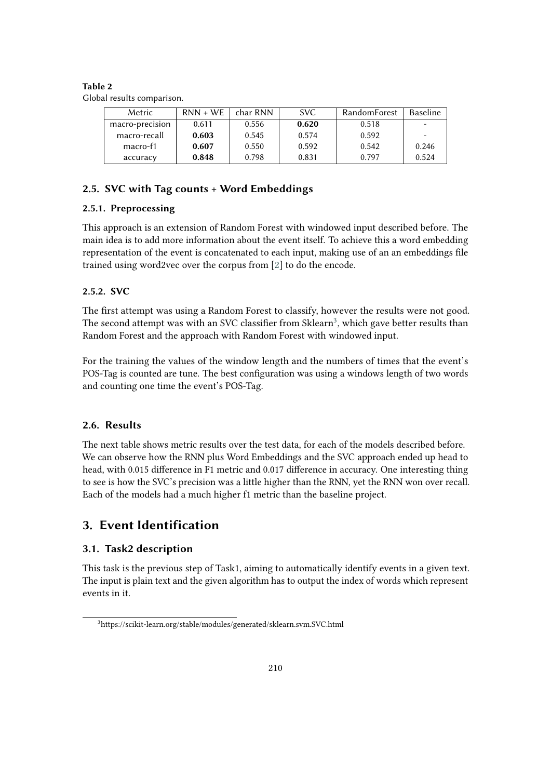**Table 2** Global results comparison.

| Metric          | $RNN + WE$ | char RNN | SVC.  | RandomForest | <b>Baseline</b> |
|-----------------|------------|----------|-------|--------------|-----------------|
| macro-precision | 0.611      | 0.556    | 0.620 | 0.518        |                 |
| macro-recall    | 0.603      | 0.545    | 0.574 | 0.592        |                 |
| macro-f1        | 0.607      | 0.550    | 0.592 | 0.542        | 0.246           |
| accuracy        | 0.848      | 0.798    | 0.831 | 0.797        | 0.524           |

## **2.5. SVC with Tag counts + Word Embeddings**

## **2.5.1. Preprocessing**

This approach is an extension of Random Forest with windowed input described before. The main idea is to add more information about the event itself. To achieve this a word embedding representation of the event is concatenated to each input, making use of an an embeddings file trained using word2vec over the corpus from [\[2\]](#page-6-0) to do the encode.

## **2.5.2. SVC**

The first attempt was using a Random Forest to classify, however the results were not good. The second attempt was with an SVC classifier from Sklearn $^3$  $^3$ , which gave better results than Random Forest and the approach with Random Forest with windowed input.

For the training the values of the window length and the numbers of times that the event's POS-Tag is counted are tune. The best configuration was using a windows length of two words and counting one time the event's POS-Tag.

## **2.6. Results**

The next table shows metric results over the test data, for each of the models described before. We can observe how the RNN plus Word Embeddings and the SVC approach ended up head to head, with 0.015 difference in F1 metric and 0.017 difference in accuracy. One interesting thing to see is how the SVC's precision was a little higher than the RNN, yet the RNN won over recall. Each of the models had a much higher f1 metric than the baseline project.

## **3. Event Identification**

## **3.1. Task2 description**

This task is the previous step of Task1, aiming to automatically identify events in a given text. The input is plain text and the given algorithm has to output the index of words which represent events in it.

<span id="page-4-0"></span><sup>3</sup>https://scikit-learn.org/stable/modules/generated/sklearn.svm.SVC.html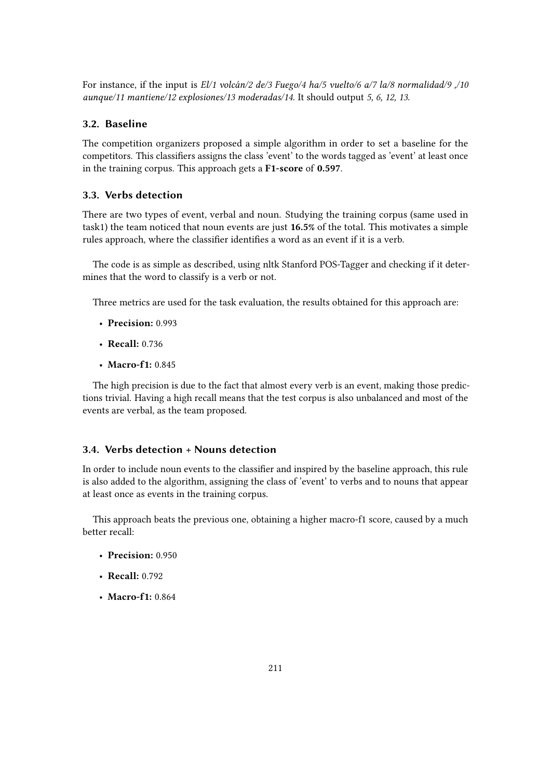For instance, if the input is *El/1 volcán/2 de/3 Fuego/4 ha/5 vuelto/6 a/7 la/8 normalidad/9 ,/10 aunque/11 mantiene/12 explosiones/13 moderadas/14.* It should output *5, 6, 12, 13*.

## **3.2. Baseline**

The competition organizers proposed a simple algorithm in order to set a baseline for the competitors. This classifiers assigns the class 'event' to the words tagged as 'event' at least once in the training corpus. This approach gets a **F1-score** of **0.597**.

#### **3.3. Verbs detection**

There are two types of event, verbal and noun. Studying the training corpus (same used in task1) the team noticed that noun events are just **16.5%** of the total. This motivates a simple rules approach, where the classifier identifies a word as an event if it is a verb.

The code is as simple as described, using nltk Stanford POS-Tagger and checking if it determines that the word to classify is a verb or not.

Three metrics are used for the task evaluation, the results obtained for this approach are:

- **Precision:** 0.993
- **Recall:** 0.736
- **Macro-f1:** 0.845

The high precision is due to the fact that almost every verb is an event, making those predictions trivial. Having a high recall means that the test corpus is also unbalanced and most of the events are verbal, as the team proposed.

#### **3.4. Verbs detection + Nouns detection**

In order to include noun events to the classifier and inspired by the baseline approach, this rule is also added to the algorithm, assigning the class of 'event' to verbs and to nouns that appear at least once as events in the training corpus.

This approach beats the previous one, obtaining a higher macro-f1 score, caused by a much better recall:

- **Precision:** 0.950
- **Recall:** 0.792
- **Macro-f1:** 0.864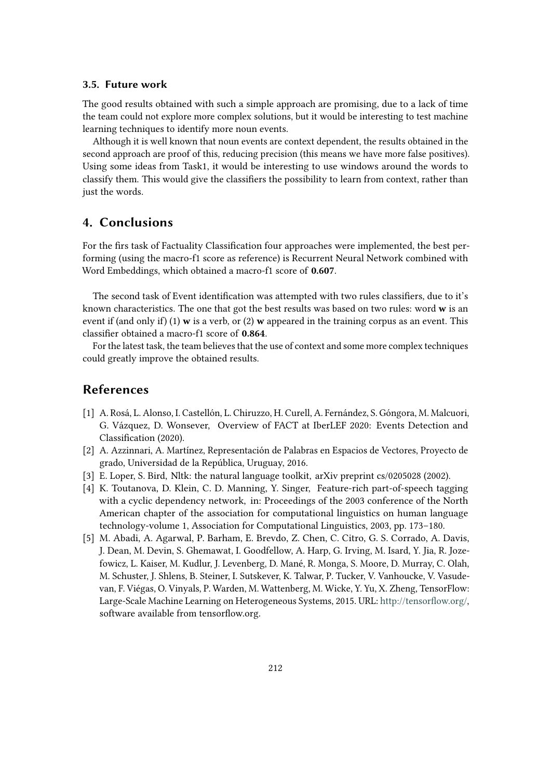#### **3.5. Future work**

The good results obtained with such a simple approach are promising, due to a lack of time the team could not explore more complex solutions, but it would be interesting to test machine learning techniques to identify more noun events.

Although it is well known that noun events are context dependent, the results obtained in the second approach are proof of this, reducing precision (this means we have more false positives). Using some ideas from Task1, it would be interesting to use windows around the words to classify them. This would give the classifiers the possibility to learn from context, rather than just the words.

## **4. Conclusions**

For the firs task of Factuality Classification four approaches were implemented, the best performing (using the macro-f1 score as reference) is Recurrent Neural Network combined with Word Embeddings, which obtained a macro-f1 score of **0.607**.

The second task of Event identification was attempted with two rules classifiers, due to it's known characteristics. The one that got the best results was based on two rules: word **w** is an event if (and only if) (1) **w** is a verb, or (2) **w** appeared in the training corpus as an event. This classifier obtained a macro-f1 score of **0.864**.

For the latest task, the team believes that the use of context and some more complex techniques could greatly improve the obtained results.

## **References**

- [1] A. Rosá, L. Alonso, I. Castellón, L. Chiruzzo, H. Curell, A. Fernández, S. Góngora, M. Malcuori, G. Vázquez, D. Wonsever, Overview of FACT at IberLEF 2020: Events Detection and Classification (2020).
- <span id="page-6-0"></span>[2] A. Azzinnari, A. Martínez, Representación de Palabras en Espacios de Vectores, Proyecto de grado, Universidad de la República, Uruguay, 2016.
- <span id="page-6-1"></span>[3] E. Loper, S. Bird, Nltk: the natural language toolkit, arXiv preprint cs/0205028 (2002).
- <span id="page-6-2"></span>[4] K. Toutanova, D. Klein, C. D. Manning, Y. Singer, Feature-rich part-of-speech tagging with a cyclic dependency network, in: Proceedings of the 2003 conference of the North American chapter of the association for computational linguistics on human language technology-volume 1, Association for Computational Linguistics, 2003, pp. 173–180.
- <span id="page-6-3"></span>[5] M. Abadi, A. Agarwal, P. Barham, E. Brevdo, Z. Chen, C. Citro, G. S. Corrado, A. Davis, J. Dean, M. Devin, S. Ghemawat, I. Goodfellow, A. Harp, G. Irving, M. Isard, Y. Jia, R. Jozefowicz, L. Kaiser, M. Kudlur, J. Levenberg, D. Mané, R. Monga, S. Moore, D. Murray, C. Olah, M. Schuster, J. Shlens, B. Steiner, I. Sutskever, K. Talwar, P. Tucker, V. Vanhoucke, V. Vasudevan, F. Viégas, O. Vinyals, P. Warden, M. Wattenberg, M. Wicke, Y. Yu, X. Zheng, TensorFlow: Large-Scale Machine Learning on Heterogeneous Systems, 2015. URL: [http://tensorflow.org/,](http://tensorflow.org/) software available from tensorflow.org.